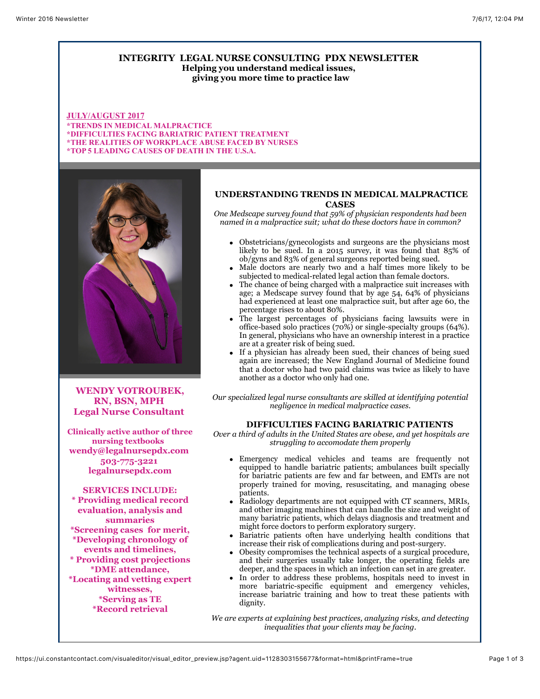## **INTEGRITY LEGAL NURSE CONSULTING PDX NEWSLETTER Helping you understand medical issues, giving you more time to practice law**

**JULY/AUGUST 2017 \*TRENDS IN MEDICAL MALPRACTICE \*DIFFICULTIES FACING BARIATRIC PATIENT TREATMENT \*THE REALITIES OF WORKPLACE ABUSE FACED BY NURSES \*TOP 5 LEADING CAUSES OF DEATH IN THE U.S.A.**



**WENDY VOTROUBEK, RN, BSN, MPH Legal Nurse Consultant** 

**Clinically active author of three nursing textbooks wendy@legalnursepdx.com 503-775-3221 legalnursepdx.com**

## **SERVICES INCLUDE:**

**\* Providing medical record evaluation, analysis and summaries \*Screening cases for merit, \*Developing chronology of events and timelines, \* Providing cost projections \*DME attendance, \*Locating and vetting expert witnesses, \*Serving as TE \*Record retrieval**

# **UNDERSTANDING TRENDS IN MEDICAL MALPRACTICE CASES**

*One Medscape survey found that 59% of physician respondents had been named in a malpractice suit; what do these doctors have in common?*

- Obstetricians/gynecologists and surgeons are the physicians most likely to be sued. In a 2015 survey, it was found that 85% of ob/gyns and 83% of general surgeons reported being sued.
- Male doctors are nearly two and a half times more likely to be subjected to medical-related legal action than female doctors.
- The chance of being charged with a malpractice suit increases with age; a Medscape survey found that by age 54, 64% of physicians had experienced at least one malpractice suit, but after age 60, the percentage rises to about 80%.
- The largest percentages of physicians facing lawsuits were in office-based solo practices (70%) or single-specialty groups (64%). In general, physicians who have an ownership interest in a practice are at a greater risk of being sued.
- If a physician has already been sued, their chances of being sued again are increased; the New England Journal of Medicine found that a doctor who had two paid claims was twice as likely to have another as a doctor who only had one.

*Our specialized legal nurse consultants are skilled at identifying potential negligence in medical malpractice cases.*

#### **DIFFICULTIES FACING BARIATRIC PATIENTS**

 *Over a third of adults in the United States are obese, and yet hospitals are struggling to accomodate them properly*

- Emergency medical vehicles and teams are frequently not equipped to handle bariatric patients; ambulances built specially for bariatric patients are few and far between, and EMTs are not properly trained for moving, resuscitating, and managing obese patients.
- Radiology departments are not equipped with CT scanners, MRIs, and other imaging machines that can handle the size and weight of many bariatric patients, which delays diagnosis and treatment and might force doctors to perform exploratory surgery.
- Bariatric patients often have underlying health conditions that increase their risk of complications during and post-surgery.
- Obesity compromises the technical aspects of a surgical procedure, and their surgeries usually take longer, the operating fields are deeper, and the spaces in which an infection can set in are greater.
- In order to address these problems, hospitals need to invest in more bariatric-specific equipment and emergency vehicles, increase bariatric training and how to treat these patients with dignity.

*We are experts at explaining best practices, analyzing risks, and detecting inequalities that your clients may be facing.*